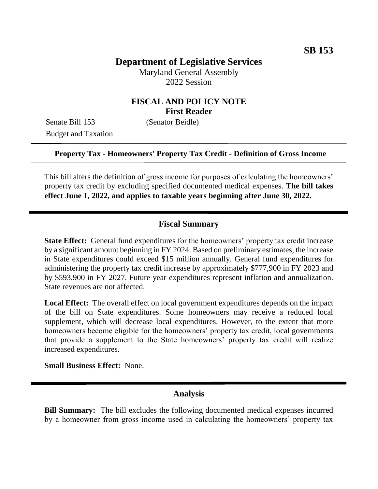# **Department of Legislative Services**

Maryland General Assembly 2022 Session

## **FISCAL AND POLICY NOTE First Reader**

Senate Bill 153 (Senator Beidle) Budget and Taxation

#### **Property Tax - Homeowners' Property Tax Credit - Definition of Gross Income**

This bill alters the definition of gross income for purposes of calculating the homeowners' property tax credit by excluding specified documented medical expenses. **The bill takes effect June 1, 2022, and applies to taxable years beginning after June 30, 2022.**

## **Fiscal Summary**

**State Effect:** General fund expenditures for the homeowners' property tax credit increase by a significant amount beginning in FY 2024. Based on preliminary estimates, the increase in State expenditures could exceed \$15 million annually. General fund expenditures for administering the property tax credit increase by approximately \$777,900 in FY 2023 and by \$593,900 in FY 2027. Future year expenditures represent inflation and annualization. State revenues are not affected.

**Local Effect:** The overall effect on local government expenditures depends on the impact of the bill on State expenditures. Some homeowners may receive a reduced local supplement, which will decrease local expenditures. However, to the extent that more homeowners become eligible for the homeowners' property tax credit, local governments that provide a supplement to the State homeowners' property tax credit will realize increased expenditures.

**Small Business Effect:** None.

### **Analysis**

**Bill Summary:** The bill excludes the following documented medical expenses incurred by a homeowner from gross income used in calculating the homeowners' property tax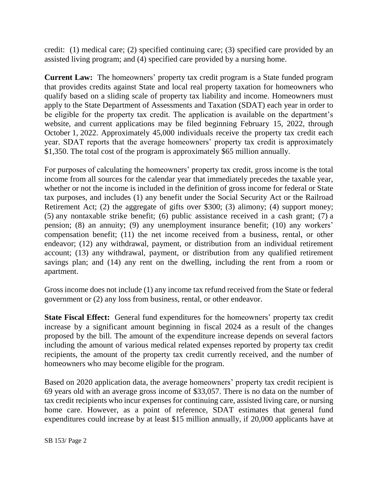credit: (1) medical care; (2) specified continuing care; (3) specified care provided by an assisted living program; and  $\overline{4}$ ) specified care provided by a nursing home.

**Current Law:** The homeowners' property tax credit program is a State funded program that provides credits against State and local real property taxation for homeowners who qualify based on a sliding scale of property tax liability and income. Homeowners must apply to the State Department of Assessments and Taxation (SDAT) each year in order to be eligible for the property tax credit. The application is available on the department's website, and current applications may be filed beginning February 15, 2022, through October 1, 2022. Approximately 45,000 individuals receive the property tax credit each year. SDAT reports that the average homeowners' property tax credit is approximately \$1,350. The total cost of the program is approximately \$65 million annually.

For purposes of calculating the homeowners' property tax credit, gross income is the total income from all sources for the calendar year that immediately precedes the taxable year, whether or not the income is included in the definition of gross income for federal or State tax purposes, and includes (1) any benefit under the Social Security Act or the Railroad Retirement Act; (2) the aggregate of gifts over \$300; (3) alimony; (4) support money; (5) any nontaxable strike benefit; (6) public assistance received in a cash grant; (7) a pension; (8) an annuity; (9) any unemployment insurance benefit; (10) any workers' compensation benefit; (11) the net income received from a business, rental, or other endeavor; (12) any withdrawal, payment, or distribution from an individual retirement account; (13) any withdrawal, payment, or distribution from any qualified retirement savings plan; and (14) any rent on the dwelling, including the rent from a room or apartment.

Gross income does not include (1) any income tax refund received from the State or federal government or (2) any loss from business, rental, or other endeavor.

**State Fiscal Effect:** General fund expenditures for the homeowners' property tax credit increase by a significant amount beginning in fiscal 2024 as a result of the changes proposed by the bill. The amount of the expenditure increase depends on several factors including the amount of various medical related expenses reported by property tax credit recipients, the amount of the property tax credit currently received, and the number of homeowners who may become eligible for the program.

Based on 2020 application data, the average homeowners' property tax credit recipient is 69 years old with an average gross income of \$33,057. There is no data on the number of tax credit recipients who incur expenses for continuing care, assisted living care, or nursing home care. However, as a point of reference, SDAT estimates that general fund expenditures could increase by at least \$15 million annually, if 20,000 applicants have at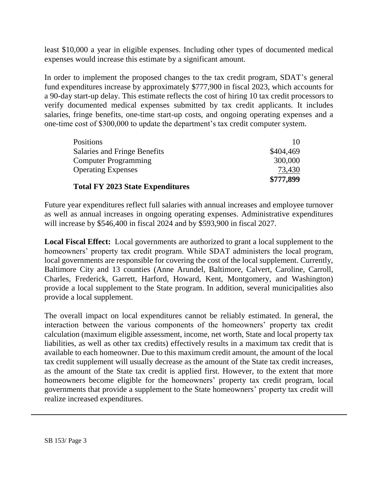least \$10,000 a year in eligible expenses. Including other types of documented medical expenses would increase this estimate by a significant amount.

In order to implement the proposed changes to the tax credit program, SDAT's general fund expenditures increase by approximately \$777,900 in fiscal 2023, which accounts for a 90-day start-up delay. This estimate reflects the cost of hiring 10 tax credit processors to verify documented medical expenses submitted by tax credit applicants. It includes salaries, fringe benefits, one-time start-up costs, and ongoing operating expenses and a one-time cost of \$300,000 to update the department's tax credit computer system.

| \$777,899 |
|-----------|
| 73,430    |
| 300,000   |
| \$404,469 |
| 10        |
|           |

Future year expenditures reflect full salaries with annual increases and employee turnover as well as annual increases in ongoing operating expenses. Administrative expenditures will increase by \$546,400 in fiscal 2024 and by \$593,900 in fiscal 2027.

**Local Fiscal Effect:** Local governments are authorized to grant a local supplement to the homeowners' property tax credit program. While SDAT administers the local program, local governments are responsible for covering the cost of the local supplement. Currently, Baltimore City and 13 counties (Anne Arundel, Baltimore, Calvert, Caroline, Carroll, Charles, Frederick, Garrett, Harford, Howard, Kent, Montgomery, and Washington) provide a local supplement to the State program. In addition, several municipalities also provide a local supplement.

The overall impact on local expenditures cannot be reliably estimated. In general, the interaction between the various components of the homeowners' property tax credit calculation (maximum eligible assessment, income, net worth, State and local property tax liabilities, as well as other tax credits) effectively results in a maximum tax credit that is available to each homeowner. Due to this maximum credit amount, the amount of the local tax credit supplement will usually decrease as the amount of the State tax credit increases, as the amount of the State tax credit is applied first. However, to the extent that more homeowners become eligible for the homeowners' property tax credit program, local governments that provide a supplement to the State homeowners' property tax credit will realize increased expenditures.